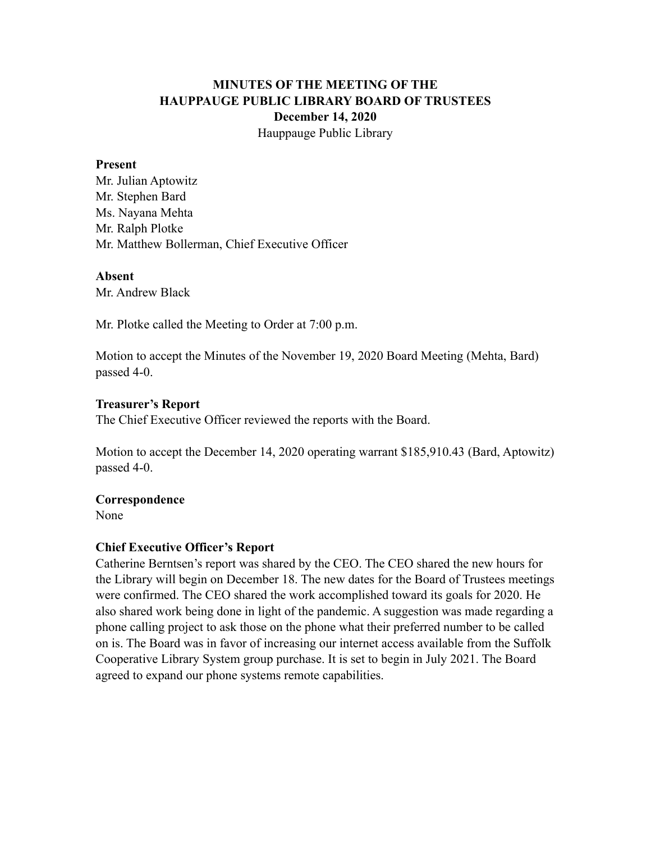# **MINUTES OF THE MEETING OF THE HAUPPAUGE PUBLIC LIBRARY BOARD OF TRUSTEES December 14, 2020** Hauppauge Public Library

#### **Present**

Mr. Julian Aptowitz Mr. Stephen Bard Ms. Nayana Mehta Mr. Ralph Plotke Mr. Matthew Bollerman, Chief Executive Officer

#### **Absent**

Mr. Andrew Black

Mr. Plotke called the Meeting to Order at 7:00 p.m.

Motion to accept the Minutes of the November 19, 2020 Board Meeting (Mehta, Bard) passed 4-0.

#### **Treasurer's Report**

The Chief Executive Officer reviewed the reports with the Board.

Motion to accept the December 14, 2020 operating warrant \$185,910.43 (Bard, Aptowitz) passed 4-0.

### **Correspondence**

None

### **Chief Executive Officer's Report**

Catherine Berntsen's report was shared by the CEO. The CEO shared the new hours for the Library will begin on December 18. The new dates for the Board of Trustees meetings were confirmed. The CEO shared the work accomplished toward its goals for 2020. He also shared work being done in light of the pandemic. A suggestion was made regarding a phone calling project to ask those on the phone what their preferred number to be called on is. The Board was in favor of increasing our internet access available from the Suffolk Cooperative Library System group purchase. It is set to begin in July 2021. The Board agreed to expand our phone systems remote capabilities.